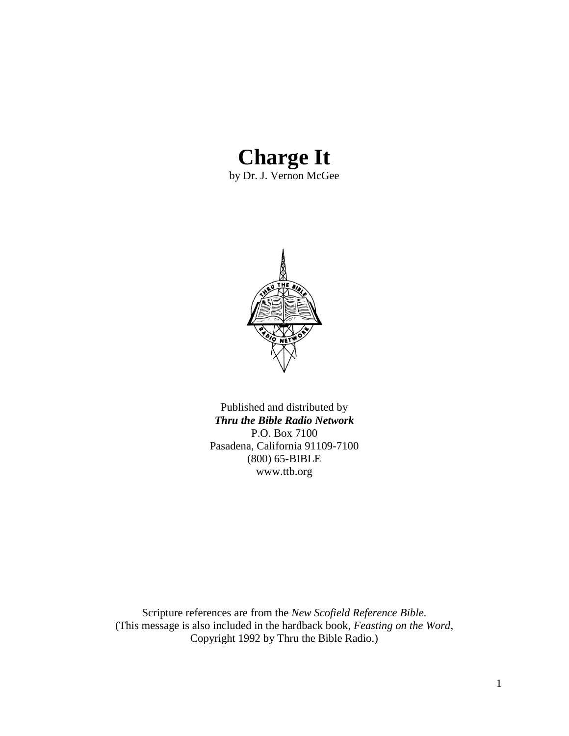## **Charge It**

by Dr. J. Vernon McGee



Published and distributed by *Thru the Bible Radio Network* P.O. Box 7100 Pasadena, California 91109-7100 (800) 65-BIBLE www.ttb.org

Scripture references are from the *New Scofield Reference Bible*. (This message is also included in the hardback book, *Feasting on the Word*, Copyright 1992 by Thru the Bible Radio.)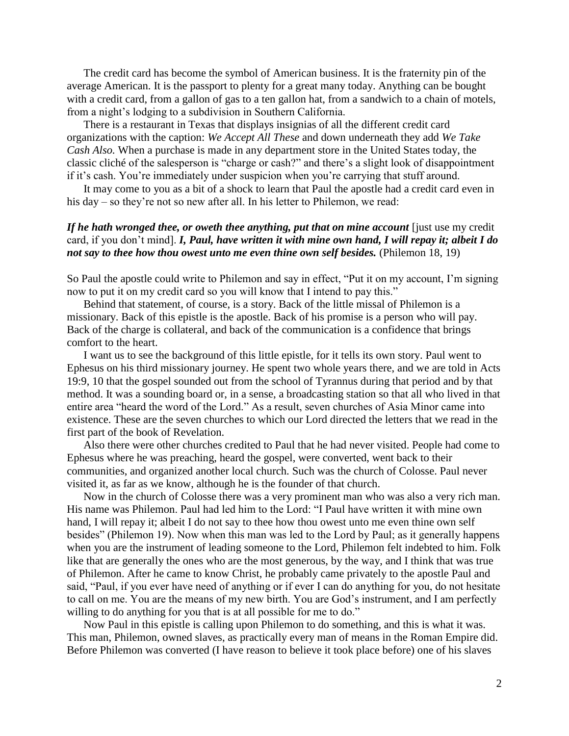The credit card has become the symbol of American business. It is the fraternity pin of the average American. It is the passport to plenty for a great many today. Anything can be bought with a credit card, from a gallon of gas to a ten gallon hat, from a sandwich to a chain of motels. from a night"s lodging to a subdivision in Southern California.

There is a restaurant in Texas that displays insignias of all the different credit card organizations with the caption: *We Accept All These* and down underneath they add *We Take Cash Also.* When a purchase is made in any department store in the United States today, the classic cliché of the salesperson is "charge or cash?" and there"s a slight look of disappointment if it's cash. You're immediately under suspicion when you're carrying that stuff around.

It may come to you as a bit of a shock to learn that Paul the apostle had a credit card even in his day – so they're not so new after all. In his letter to Philemon, we read:

## If he hath wronged thee, or oweth thee anything, put that on mine account *[just use my credit*] card, if you don"t mind]. *I, Paul, have written it with mine own hand, I will repay it; albeit I do not say to thee how thou owest unto me even thine own self besides.* (Philemon 18, 19)

So Paul the apostle could write to Philemon and say in effect, "Put it on my account, I"m signing now to put it on my credit card so you will know that I intend to pay this."

Behind that statement, of course, is a story. Back of the little missal of Philemon is a missionary. Back of this epistle is the apostle. Back of his promise is a person who will pay. Back of the charge is collateral, and back of the communication is a confidence that brings comfort to the heart.

I want us to see the background of this little epistle, for it tells its own story. Paul went to Ephesus on his third missionary journey. He spent two whole years there, and we are told in Acts 19:9, 10 that the gospel sounded out from the school of Tyrannus during that period and by that method. It was a sounding board or, in a sense, a broadcasting station so that all who lived in that entire area "heard the word of the Lord." As a result, seven churches of Asia Minor came into existence. These are the seven churches to which our Lord directed the letters that we read in the first part of the book of Revelation.

Also there were other churches credited to Paul that he had never visited. People had come to Ephesus where he was preaching, heard the gospel, were converted, went back to their communities, and organized another local church. Such was the church of Colosse. Paul never visited it, as far as we know, although he is the founder of that church.

Now in the church of Colosse there was a very prominent man who was also a very rich man. His name was Philemon. Paul had led him to the Lord: "I Paul have written it with mine own hand, I will repay it; albeit I do not say to thee how thou owest unto me even thine own self besides" (Philemon 19). Now when this man was led to the Lord by Paul; as it generally happens when you are the instrument of leading someone to the Lord, Philemon felt indebted to him. Folk like that are generally the ones who are the most generous, by the way, and I think that was true of Philemon. After he came to know Christ, he probably came privately to the apostle Paul and said, "Paul, if you ever have need of anything or if ever I can do anything for you, do not hesitate to call on me. You are the means of my new birth. You are God"s instrument, and I am perfectly willing to do anything for you that is at all possible for me to do."

Now Paul in this epistle is calling upon Philemon to do something, and this is what it was. This man, Philemon, owned slaves, as practically every man of means in the Roman Empire did. Before Philemon was converted (I have reason to believe it took place before) one of his slaves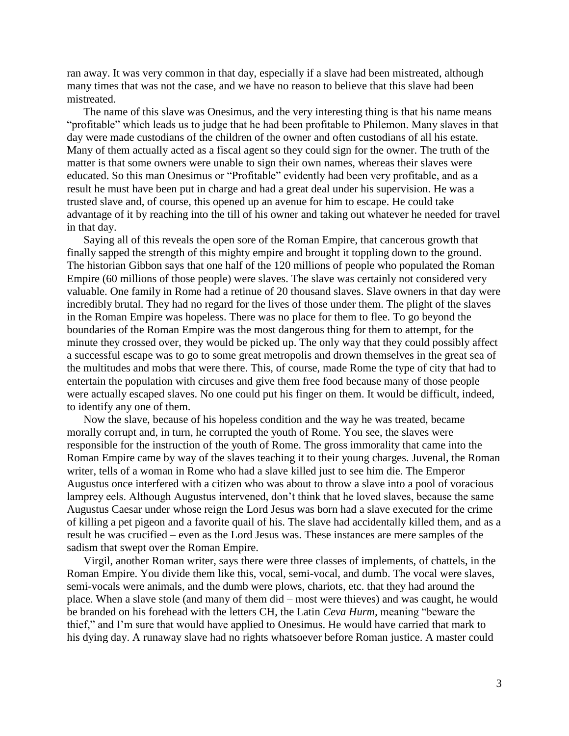ran away. It was very common in that day, especially if a slave had been mistreated, although many times that was not the case, and we have no reason to believe that this slave had been mistreated.

The name of this slave was Onesimus, and the very interesting thing is that his name means "profitable" which leads us to judge that he had been profitable to Philemon. Many slaves in that day were made custodians of the children of the owner and often custodians of all his estate. Many of them actually acted as a fiscal agent so they could sign for the owner. The truth of the matter is that some owners were unable to sign their own names, whereas their slaves were educated. So this man Onesimus or "Profitable" evidently had been very profitable, and as a result he must have been put in charge and had a great deal under his supervision. He was a trusted slave and, of course, this opened up an avenue for him to escape. He could take advantage of it by reaching into the till of his owner and taking out whatever he needed for travel in that day.

Saying all of this reveals the open sore of the Roman Empire, that cancerous growth that finally sapped the strength of this mighty empire and brought it toppling down to the ground. The historian Gibbon says that one half of the 120 millions of people who populated the Roman Empire (60 millions of those people) were slaves. The slave was certainly not considered very valuable. One family in Rome had a retinue of 20 thousand slaves. Slave owners in that day were incredibly brutal. They had no regard for the lives of those under them. The plight of the slaves in the Roman Empire was hopeless. There was no place for them to flee. To go beyond the boundaries of the Roman Empire was the most dangerous thing for them to attempt, for the minute they crossed over, they would be picked up. The only way that they could possibly affect a successful escape was to go to some great metropolis and drown themselves in the great sea of the multitudes and mobs that were there. This, of course, made Rome the type of city that had to entertain the population with circuses and give them free food because many of those people were actually escaped slaves. No one could put his finger on them. It would be difficult, indeed, to identify any one of them.

Now the slave, because of his hopeless condition and the way he was treated, became morally corrupt and, in turn, he corrupted the youth of Rome. You see, the slaves were responsible for the instruction of the youth of Rome. The gross immorality that came into the Roman Empire came by way of the slaves teaching it to their young charges. Juvenal, the Roman writer, tells of a woman in Rome who had a slave killed just to see him die. The Emperor Augustus once interfered with a citizen who was about to throw a slave into a pool of voracious lamprey eels. Although Augustus intervened, don't think that he loved slaves, because the same Augustus Caesar under whose reign the Lord Jesus was born had a slave executed for the crime of killing a pet pigeon and a favorite quail of his. The slave had accidentally killed them, and as a result he was crucified – even as the Lord Jesus was. These instances are mere samples of the sadism that swept over the Roman Empire.

Virgil, another Roman writer, says there were three classes of implements, of chattels, in the Roman Empire. You divide them like this, vocal, semi-vocal, and dumb. The vocal were slaves, semi-vocals were animals, and the dumb were plows, chariots, etc. that they had around the place. When a slave stole (and many of them did – most were thieves) and was caught, he would be branded on his forehead with the letters CH, the Latin *Ceva Hurm,* meaning "beware the thief," and I"m sure that would have applied to Onesimus. He would have carried that mark to his dying day. A runaway slave had no rights whatsoever before Roman justice. A master could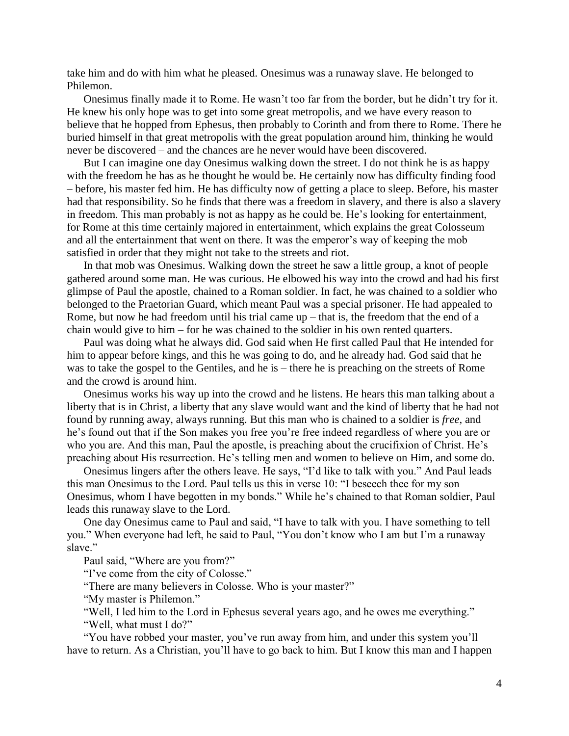take him and do with him what he pleased. Onesimus was a runaway slave. He belonged to Philemon.

Onesimus finally made it to Rome. He wasn"t too far from the border, but he didn"t try for it. He knew his only hope was to get into some great metropolis, and we have every reason to believe that he hopped from Ephesus, then probably to Corinth and from there to Rome. There he buried himself in that great metropolis with the great population around him, thinking he would never be discovered – and the chances are he never would have been discovered.

But I can imagine one day Onesimus walking down the street. I do not think he is as happy with the freedom he has as he thought he would be. He certainly now has difficulty finding food – before, his master fed him. He has difficulty now of getting a place to sleep. Before, his master had that responsibility. So he finds that there was a freedom in slavery, and there is also a slavery in freedom. This man probably is not as happy as he could be. He"s looking for entertainment, for Rome at this time certainly majored in entertainment, which explains the great Colosseum and all the entertainment that went on there. It was the emperor's way of keeping the mob satisfied in order that they might not take to the streets and riot.

In that mob was Onesimus. Walking down the street he saw a little group, a knot of people gathered around some man. He was curious. He elbowed his way into the crowd and had his first glimpse of Paul the apostle, chained to a Roman soldier. In fact, he was chained to a soldier who belonged to the Praetorian Guard, which meant Paul was a special prisoner. He had appealed to Rome, but now he had freedom until his trial came  $up$  – that is, the freedom that the end of a chain would give to him – for he was chained to the soldier in his own rented quarters.

Paul was doing what he always did. God said when He first called Paul that He intended for him to appear before kings, and this he was going to do, and he already had. God said that he was to take the gospel to the Gentiles, and he is – there he is preaching on the streets of Rome and the crowd is around him.

Onesimus works his way up into the crowd and he listens. He hears this man talking about a liberty that is in Christ, a liberty that any slave would want and the kind of liberty that he had not found by running away, always running. But this man who is chained to a soldier is *free,* and he's found out that if the Son makes you free you're free indeed regardless of where you are or who you are. And this man, Paul the apostle, is preaching about the crucifixion of Christ. He's preaching about His resurrection. He's telling men and women to believe on Him, and some do.

Onesimus lingers after the others leave. He says, "I"d like to talk with you." And Paul leads this man Onesimus to the Lord. Paul tells us this in verse 10: "I beseech thee for my son Onesimus, whom I have begotten in my bonds." While he"s chained to that Roman soldier, Paul leads this runaway slave to the Lord.

One day Onesimus came to Paul and said, "I have to talk with you. I have something to tell you." When everyone had left, he said to Paul, "You don"t know who I am but I"m a runaway slave"

Paul said, "Where are you from?"

"I"ve come from the city of Colosse."

"There are many believers in Colosse. Who is your master?"

"My master is Philemon."

"Well, I led him to the Lord in Ephesus several years ago, and he owes me everything." "Well, what must I do?"

"You have robbed your master, you"ve run away from him, and under this system you"ll have to return. As a Christian, you"ll have to go back to him. But I know this man and I happen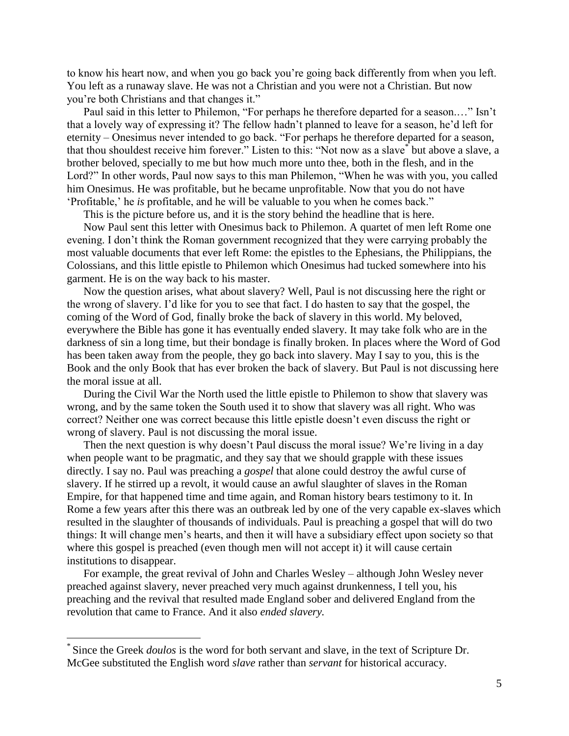to know his heart now, and when you go back you"re going back differently from when you left. You left as a runaway slave. He was not a Christian and you were not a Christian. But now you"re both Christians and that changes it."

Paul said in this letter to Philemon, "For perhaps he therefore departed for a season.…" Isn"t that a lovely way of expressing it? The fellow hadn"t planned to leave for a season, he"d left for eternity – Onesimus never intended to go back. "For perhaps he therefore departed for a season, that thou shouldest receive him forever." Listen to this: "Not now as a slave\* but above a slave, a brother beloved, specially to me but how much more unto thee, both in the flesh, and in the Lord?" In other words, Paul now says to this man Philemon, "When he was with you, you called him Onesimus. He was profitable, but he became unprofitable. Now that you do not have "Profitable," he *is* profitable, and he will be valuable to you when he comes back."

This is the picture before us, and it is the story behind the headline that is here.

Now Paul sent this letter with Onesimus back to Philemon. A quartet of men left Rome one evening. I don"t think the Roman government recognized that they were carrying probably the most valuable documents that ever left Rome: the epistles to the Ephesians, the Philippians, the Colossians, and this little epistle to Philemon which Onesimus had tucked somewhere into his garment. He is on the way back to his master.

Now the question arises, what about slavery? Well, Paul is not discussing here the right or the wrong of slavery. I"d like for you to see that fact. I do hasten to say that the gospel, the coming of the Word of God, finally broke the back of slavery in this world. My beloved, everywhere the Bible has gone it has eventually ended slavery. It may take folk who are in the darkness of sin a long time, but their bondage is finally broken. In places where the Word of God has been taken away from the people, they go back into slavery. May I say to you, this is the Book and the only Book that has ever broken the back of slavery. But Paul is not discussing here the moral issue at all.

During the Civil War the North used the little epistle to Philemon to show that slavery was wrong, and by the same token the South used it to show that slavery was all right. Who was correct? Neither one was correct because this little epistle doesn"t even discuss the right or wrong of slavery. Paul is not discussing the moral issue.

Then the next question is why doesn't Paul discuss the moral issue? We're living in a day when people want to be pragmatic, and they say that we should grapple with these issues directly. I say no. Paul was preaching a *gospel* that alone could destroy the awful curse of slavery. If he stirred up a revolt, it would cause an awful slaughter of slaves in the Roman Empire, for that happened time and time again, and Roman history bears testimony to it. In Rome a few years after this there was an outbreak led by one of the very capable ex-slaves which resulted in the slaughter of thousands of individuals. Paul is preaching a gospel that will do two things: It will change men"s hearts, and then it will have a subsidiary effect upon society so that where this gospel is preached (even though men will not accept it) it will cause certain institutions to disappear.

For example, the great revival of John and Charles Wesley – although John Wesley never preached against slavery, never preached very much against drunkenness, I tell you, his preaching and the revival that resulted made England sober and delivered England from the revolution that came to France. And it also *ended slavery.*

<u>.</u>

<sup>\*</sup> Since the Greek *doulos* is the word for both servant and slave, in the text of Scripture Dr. McGee substituted the English word *slave* rather than *servant* for historical accuracy.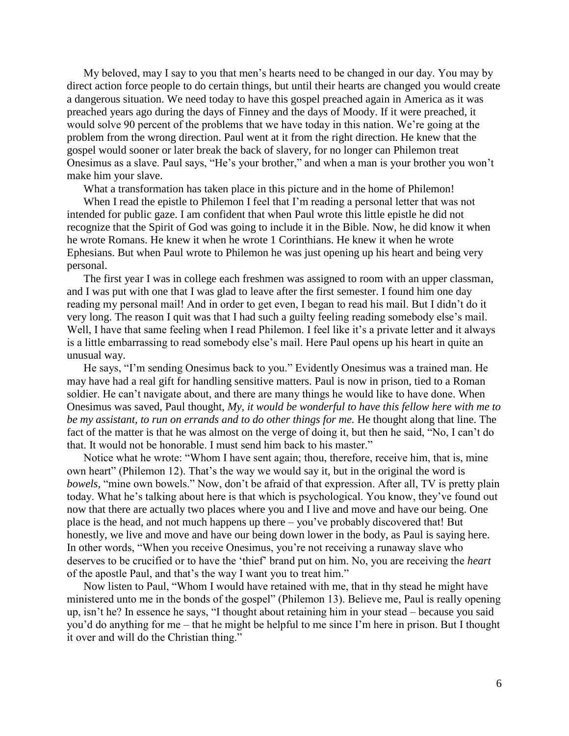My beloved, may I say to you that men"s hearts need to be changed in our day. You may by direct action force people to do certain things, but until their hearts are changed you would create a dangerous situation. We need today to have this gospel preached again in America as it was preached years ago during the days of Finney and the days of Moody. If it were preached, it would solve 90 percent of the problems that we have today in this nation. We"re going at the problem from the wrong direction. Paul went at it from the right direction. He knew that the gospel would sooner or later break the back of slavery, for no longer can Philemon treat Onesimus as a slave. Paul says, "He"s your brother," and when a man is your brother you won"t make him your slave.

What a transformation has taken place in this picture and in the home of Philemon!

When I read the epistle to Philemon I feel that I'm reading a personal letter that was not intended for public gaze. I am confident that when Paul wrote this little epistle he did not recognize that the Spirit of God was going to include it in the Bible. Now, he did know it when he wrote Romans. He knew it when he wrote 1 Corinthians. He knew it when he wrote Ephesians. But when Paul wrote to Philemon he was just opening up his heart and being very personal.

The first year I was in college each freshmen was assigned to room with an upper classman, and I was put with one that I was glad to leave after the first semester. I found him one day reading my personal mail! And in order to get even, I began to read his mail. But I didn"t do it very long. The reason I quit was that I had such a guilty feeling reading somebody else"s mail. Well, I have that same feeling when I read Philemon. I feel like it's a private letter and it always is a little embarrassing to read somebody else"s mail. Here Paul opens up his heart in quite an unusual way.

He says, "I"m sending Onesimus back to you." Evidently Onesimus was a trained man. He may have had a real gift for handling sensitive matters. Paul is now in prison, tied to a Roman soldier. He can't navigate about, and there are many things he would like to have done. When Onesimus was saved, Paul thought, *My, it would be wonderful to have this fellow here with me to be my assistant, to run on errands and to do other things for me.* He thought along that line. The fact of the matter is that he was almost on the verge of doing it, but then he said, "No, I can"t do that. It would not be honorable. I must send him back to his master."

Notice what he wrote: "Whom I have sent again; thou, therefore, receive him, that is, mine own heart" (Philemon 12). That's the way we would say it, but in the original the word is *bowels,* "mine own bowels." Now, don't be afraid of that expression. After all, TV is pretty plain today. What he's talking about here is that which is psychological. You know, they've found out now that there are actually two places where you and I live and move and have our being. One place is the head, and not much happens up there – you"ve probably discovered that! But honestly, we live and move and have our being down lower in the body, as Paul is saying here. In other words, "When you receive Onesimus, you"re not receiving a runaway slave who deserves to be crucified or to have the "thief" brand put on him. No, you are receiving the *heart* of the apostle Paul, and that"s the way I want you to treat him."

Now listen to Paul, "Whom I would have retained with me, that in thy stead he might have ministered unto me in the bonds of the gospel" (Philemon 13). Believe me, Paul is really opening up, isn"t he? In essence he says, "I thought about retaining him in your stead – because you said you"d do anything for me – that he might be helpful to me since I"m here in prison. But I thought it over and will do the Christian thing."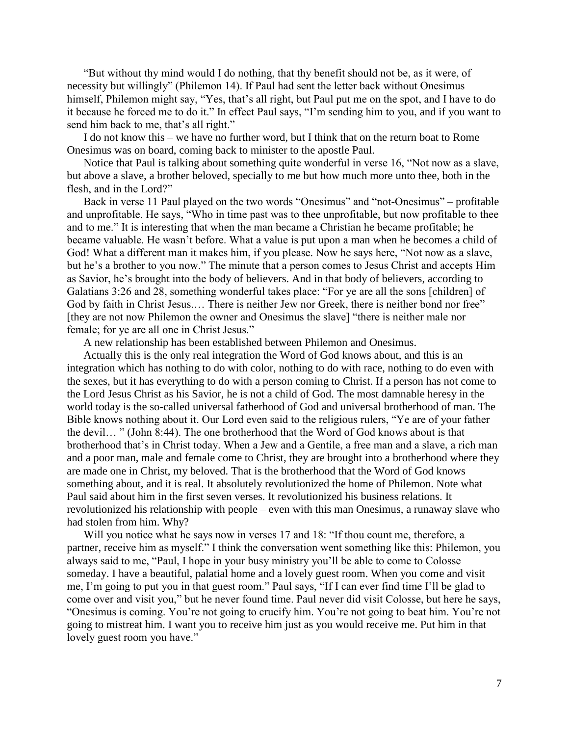"But without thy mind would I do nothing, that thy benefit should not be, as it were, of necessity but willingly" (Philemon 14). If Paul had sent the letter back without Onesimus himself, Philemon might say, "Yes, that's all right, but Paul put me on the spot, and I have to do it because he forced me to do it." In effect Paul says, "I"m sending him to you, and if you want to send him back to me, that's all right."

I do not know this – we have no further word, but I think that on the return boat to Rome Onesimus was on board, coming back to minister to the apostle Paul.

Notice that Paul is talking about something quite wonderful in verse 16, "Not now as a slave, but above a slave, a brother beloved, specially to me but how much more unto thee, both in the flesh, and in the Lord?"

Back in verse 11 Paul played on the two words "Onesimus" and "not-Onesimus" – profitable and unprofitable. He says, "Who in time past was to thee unprofitable, but now profitable to thee and to me." It is interesting that when the man became a Christian he became profitable; he became valuable. He wasn"t before. What a value is put upon a man when he becomes a child of God! What a different man it makes him, if you please. Now he says here, "Not now as a slave, but he"s a brother to you now." The minute that a person comes to Jesus Christ and accepts Him as Savior, he's brought into the body of believers. And in that body of believers, according to Galatians 3:26 and 28, something wonderful takes place: "For ye are all the sons [children] of God by faith in Christ Jesus.… There is neither Jew nor Greek, there is neither bond nor free" [they are not now Philemon the owner and Onesimus the slave] "there is neither male nor female; for ye are all one in Christ Jesus."

A new relationship has been established between Philemon and Onesimus.

Actually this is the only real integration the Word of God knows about, and this is an integration which has nothing to do with color, nothing to do with race, nothing to do even with the sexes, but it has everything to do with a person coming to Christ. If a person has not come to the Lord Jesus Christ as his Savior, he is not a child of God. The most damnable heresy in the world today is the so-called universal fatherhood of God and universal brotherhood of man. The Bible knows nothing about it. Our Lord even said to the religious rulers, "Ye are of your father the devil… " (John 8:44). The one brotherhood that the Word of God knows about is that brotherhood that"s in Christ today. When a Jew and a Gentile, a free man and a slave, a rich man and a poor man, male and female come to Christ, they are brought into a brotherhood where they are made one in Christ, my beloved. That is the brotherhood that the Word of God knows something about, and it is real. It absolutely revolutionized the home of Philemon. Note what Paul said about him in the first seven verses. It revolutionized his business relations. It revolutionized his relationship with people – even with this man Onesimus, a runaway slave who had stolen from him. Why?

Will you notice what he says now in verses 17 and 18: "If thou count me, therefore, a partner, receive him as myself." I think the conversation went something like this: Philemon, you always said to me, "Paul, I hope in your busy ministry you"ll be able to come to Colosse someday. I have a beautiful, palatial home and a lovely guest room. When you come and visit me, I"m going to put you in that guest room." Paul says, "If I can ever find time I"ll be glad to come over and visit you," but he never found time. Paul never did visit Colosse, but here he says, "Onesimus is coming. You"re not going to crucify him. You"re not going to beat him. You"re not going to mistreat him. I want you to receive him just as you would receive me. Put him in that lovely guest room you have."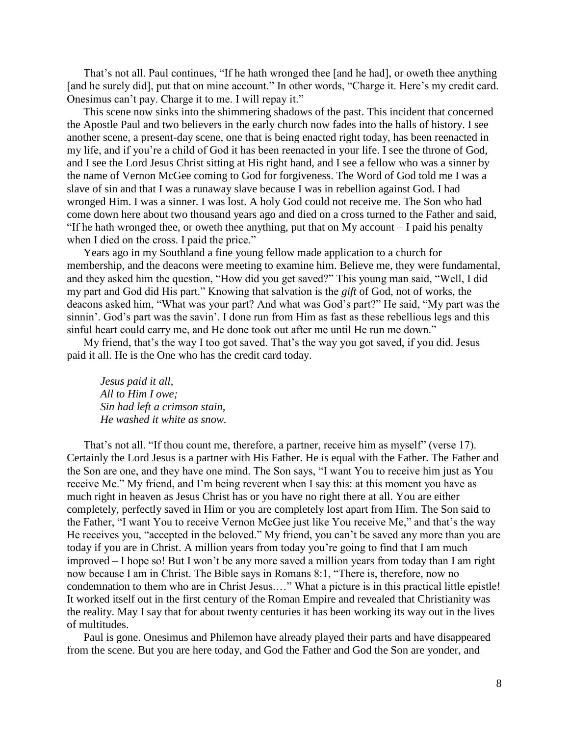That's not all. Paul continues, "If he hath wronged thee [and he had], or oweth thee anything [and he surely did], put that on mine account." In other words, "Charge it. Here's my credit card. Onesimus can"t pay. Charge it to me. I will repay it."

This scene now sinks into the shimmering shadows of the past. This incident that concerned the Apostle Paul and two believers in the early church now fades into the halls of history. I see another scene, a present-day scene, one that is being enacted right today, has been reenacted in my life, and if you"re a child of God it has been reenacted in your life. I see the throne of God, and I see the Lord Jesus Christ sitting at His right hand, and I see a fellow who was a sinner by the name of Vernon McGee coming to God for forgiveness. The Word of God told me I was a slave of sin and that I was a runaway slave because I was in rebellion against God. I had wronged Him. I was a sinner. I was lost. A holy God could not receive me. The Son who had come down here about two thousand years ago and died on a cross turned to the Father and said, "If he hath wronged thee, or oweth thee anything, put that on My account – I paid his penalty when I died on the cross. I paid the price."

Years ago in my Southland a fine young fellow made application to a church for membership, and the deacons were meeting to examine him. Believe me, they were fundamental, and they asked him the question, "How did you get saved?" This young man said, "Well, I did my part and God did His part." Knowing that salvation is the *gift* of God, not of works, the deacons asked him, "What was your part? And what was God"s part?" He said, "My part was the sinnin'. God's part was the savin'. I done run from Him as fast as these rebellious legs and this sinful heart could carry me, and He done took out after me until He run me down."

My friend, that"s the way I too got saved. That"s the way you got saved, if you did. Jesus paid it all. He is the One who has the credit card today.

*Jesus paid it all, All to Him I owe; Sin had left a crimson stain, He washed it white as snow.*

That's not all. "If thou count me, therefore, a partner, receive him as myself" (verse 17). Certainly the Lord Jesus is a partner with His Father. He is equal with the Father. The Father and the Son are one, and they have one mind. The Son says, "I want You to receive him just as You receive Me." My friend, and I"m being reverent when I say this: at this moment you have as much right in heaven as Jesus Christ has or you have no right there at all. You are either completely, perfectly saved in Him or you are completely lost apart from Him. The Son said to the Father, "I want You to receive Vernon McGee just like You receive Me," and that"s the way He receives you, "accepted in the beloved." My friend, you can't be saved any more than you are today if you are in Christ. A million years from today you"re going to find that I am much improved – I hope so! But I won"t be any more saved a million years from today than I am right now because I am in Christ. The Bible says in Romans 8:1, "There is, therefore, now no condemnation to them who are in Christ Jesus.…" What a picture is in this practical little epistle! It worked itself out in the first century of the Roman Empire and revealed that Christianity was the reality. May I say that for about twenty centuries it has been working its way out in the lives of multitudes.

Paul is gone. Onesimus and Philemon have already played their parts and have disappeared from the scene. But you are here today, and God the Father and God the Son are yonder, and